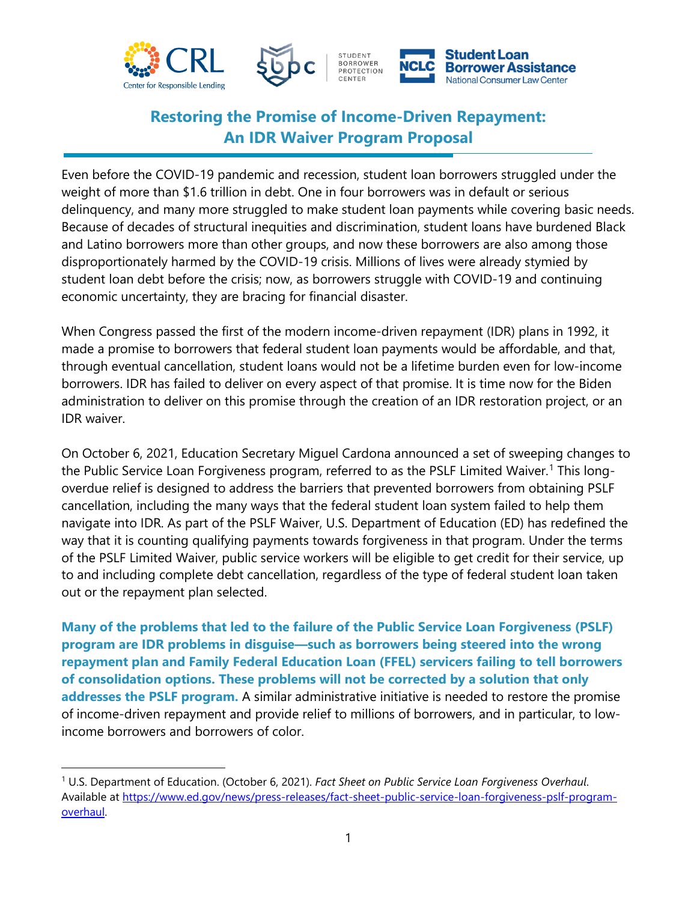



# **Restoring the Promise of Income-Driven Repayment: An IDR Waiver Program Proposal**

Even before the COVID-19 pandemic and recession, student loan borrowers struggled under the weight of more than \$1.6 trillion in debt. One in four borrowers was in default or serious delinquency, and many more struggled to make student loan payments while covering basic needs. Because of decades of structural inequities and discrimination, student loans have burdened Black and Latino borrowers more than other groups, and now these borrowers are also among those disproportionately harmed by the COVID-19 crisis. Millions of lives were already stymied by student loan debt before the crisis; now, as borrowers struggle with COVID-19 and continuing economic uncertainty, they are bracing for financial disaster.

When Congress passed the first of the modern income-driven repayment (IDR) plans in 1992, it made a promise to borrowers that federal student loan payments would be affordable, and that, through eventual cancellation, student loans would not be a lifetime burden even for low-income borrowers. IDR has failed to deliver on every aspect of that promise. It is time now for the Biden administration to deliver on this promise through the creation of an IDR restoration project, or an IDR waiver.

On October 6, 2021, Education Secretary Miguel Cardona announced a set of sweeping changes to the Public Service Loan Forgiveness program, referred to as the PSLF Limited Waiver.<sup>[1](#page-0-0)</sup> This longoverdue relief is designed to address the barriers that prevented borrowers from obtaining PSLF cancellation, including the many ways that the federal student loan system failed to help them navigate into IDR. As part of the PSLF Waiver, U.S. Department of Education (ED) has redefined the way that it is counting qualifying payments towards forgiveness in that program. Under the terms of the PSLF Limited Waiver, public service workers will be eligible to get credit for their service, up to and including complete debt cancellation, regardless of the type of federal student loan taken out or the repayment plan selected.

**Many of the problems that led to the failure of the Public Service Loan Forgiveness (PSLF) program are IDR problems in disguise—such as borrowers being steered into the wrong repayment plan and Family Federal Education Loan (FFEL) servicers failing to tell borrowers of consolidation options. These problems will not be corrected by a solution that only addresses the PSLF program.** A similar administrative initiative is needed to restore the promise of income-driven repayment and provide relief to millions of borrowers, and in particular, to lowincome borrowers and borrowers of color.

<span id="page-0-0"></span><sup>1</sup> U.S. Department of Education. (October 6, 2021). *Fact Sheet on Public Service Loan Forgiveness Overhaul*. Available at [https://www.ed.gov/news/press-releases/fact-sheet-public-service-loan-forgiveness-pslf-program](https://www.ed.gov/news/press-releases/fact-sheet-public-service-loan-forgiveness-pslf-program-overhaul)[overhaul.](https://www.ed.gov/news/press-releases/fact-sheet-public-service-loan-forgiveness-pslf-program-overhaul)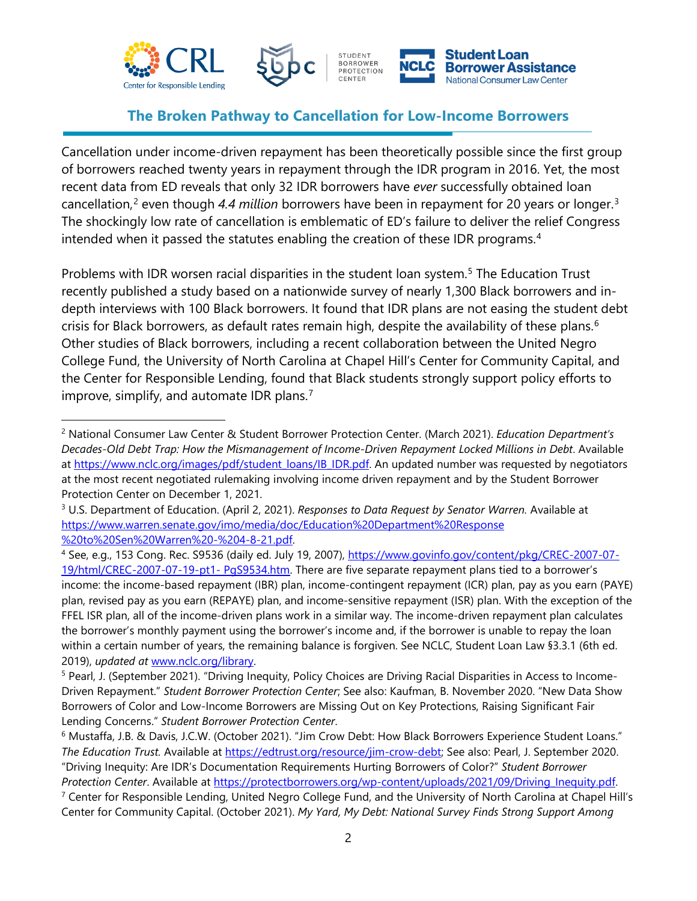



### **The Broken Pathway to Cancellation for Low-Income Borrowers**

Cancellation under income-driven repayment has been theoretically possible since the first group of borrowers reached twenty years in repayment through the IDR program in 2016. Yet, the most recent data from ED reveals that only 32 IDR borrowers have *ever* successfully obtained loan cancellation, [2](#page-1-0) even though *4.4 million* borrowers have been in repayment for 20 years or longer.[3](#page-1-1) The shockingly low rate of cancellation is emblematic of ED's failure to deliver the relief Congress intended when it passed the statutes enabling the creation of these IDR programs.<sup>[4](#page-1-2)</sup>

Problems with IDR worsen racial disparities in the student loan system.<sup>[5](#page-1-3)</sup> The Education Trust recently published a study based on a nationwide survey of nearly 1,300 Black borrowers and indepth interviews with 100 Black borrowers. It found that IDR plans are not easing the student debt crisis for Black borrowers, as default rates remain high, despite the availability of these plans.<sup>[6](#page-1-4)</sup> Other studies of Black borrowers, including a recent collaboration between the United Negro College Fund, the University of North Carolina at Chapel Hill's Center for Community Capital, and the Center for Responsible Lending, found that Black students strongly support policy efforts to improve, simplify, and automate IDR plans.<sup>[7](#page-1-5)</sup>

<span id="page-1-0"></span><sup>2</sup> National Consumer Law Center & Student Borrower Protection Center. (March 2021). *Education Department's Decades-Old Debt Trap: How the Mismanagement of Income-Driven Repayment Locked Millions in Debt*. Available at [https://www.nclc.org/images/pdf/student\\_loans/IB\\_IDR.pdf.](https://www.nclc.org/images/pdf/student_loans/IB_IDR.pdf) An updated number was requested by negotiators at the most recent negotiated rulemaking involving income driven repayment and by the Student Borrower Protection Center on December 1, 2021.

<span id="page-1-1"></span><sup>3</sup> U.S. Department of Education. (April 2, 2021). *Responses to Data Request by Senator Warren.* Available at [https://www.warren.senate.gov/imo/media/doc/Education%20Department%20Response](https://www.warren.senate.gov/imo/media/doc/Education%20Department%20Response%20%20to%20Sen%20Warren%20-%204-8-21.pdf)  [%20to%20Sen%20Warren%20-%204-8-21.pdf.](https://www.warren.senate.gov/imo/media/doc/Education%20Department%20Response%20%20to%20Sen%20Warren%20-%204-8-21.pdf)

<span id="page-1-2"></span><sup>4</sup> See, e.g., 153 Cong. Rec. S9536 (daily ed. July 19, 2007), [https://www.govinfo.gov/content/pkg/CREC-2007-07-](https://www.govinfo.gov/content/pkg/CREC-2007-07-19/html/CREC-2007-07-19-pt1-%20PgS9534.htm) [19/html/CREC-2007-07-19-pt1-](https://www.govinfo.gov/content/pkg/CREC-2007-07-19/html/CREC-2007-07-19-pt1-%20PgS9534.htm) PgS9534.htm. There are five separate repayment plans tied to a borrower's income: the income-based repayment (IBR) plan, income-contingent repayment (ICR) plan, pay as you earn (PAYE) plan, revised pay as you earn (REPAYE) plan, and income-sensitive repayment (ISR) plan. With the exception of the FFEL ISR plan, all of the income-driven plans work in a similar way. The income-driven repayment plan calculates the borrower's monthly payment using the borrower's income and, if the borrower is unable to repay the loan within a certain number of years, the remaining balance is forgiven. See NCLC, Student Loan Law §3.3.1 (6th ed. 2019), *updated at* www.nclc.org/library.

<span id="page-1-3"></span><sup>5</sup> Pearl, J. (September 2021). "Driving Inequity, Policy Choices are Driving Racial Disparities in Access to Income-Driven Repayment." *Student Borrower Protection Center*; See also: Kaufman, B. November 2020. "New Data Show Borrowers of Color and Low-Income Borrowers are Missing Out on Key Protections, Raising Significant Fair Lending Concerns." *Student Borrower Protection Center*.<br><sup>6</sup> Mustaffa, J.B. & Davis, J.C.W. (October 2021). "Jim Crow Debt: How Black Borrowers Experience Student Loans."

<span id="page-1-4"></span>*The Education Trust.* Available at [https://edtrust.org/resource/jim-crow-debt;](https://edtrust.org/resource/jim-crow-debt) See also: Pearl, J. September 2020. "Driving Inequity: Are IDR's Documentation Requirements Hurting Borrowers of Color?" *Student Borrower Protection Center*. Available at [https://protectborrowers.org/wp-content/uploads/2021/09/Driving\\_Inequity.pdf.](https://protectborrowers.org/wp-content/uploads/2021/09/Driving_Inequity.pdf)

<span id="page-1-5"></span><sup>&</sup>lt;sup>7</sup> Center for Responsible Lending, United Negro College Fund, and the University of North Carolina at Chapel Hill's Center for Community Capital. (October 2021). *My Yard, My Debt: National Survey Finds Strong Support Among*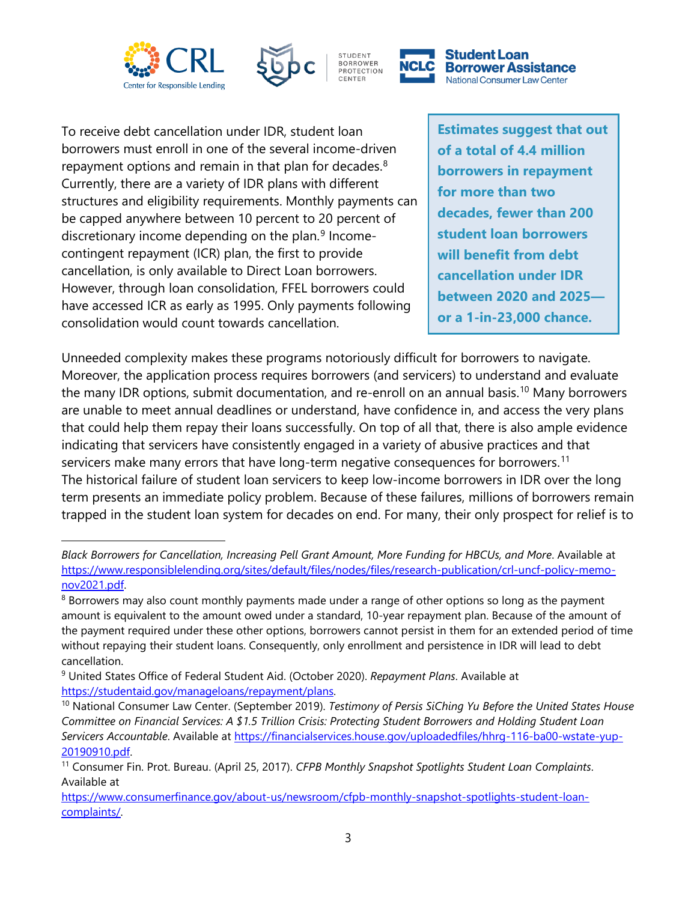





CENTER

**Student Loan Borrower Assistance National Consumer Law Center** 

To receive debt cancellation under IDR, student loan borrowers must enroll in one of the several income-driven repayment options and remain in that plan for decades.<sup>[8](#page-2-0)</sup> Currently, there are a variety of IDR plans with different structures and eligibility requirements. Monthly payments can be capped anywhere between 10 percent to 20 percent of discretionary income depending on the plan.<sup>[9](#page-2-1)</sup> Incomecontingent repayment (ICR) plan, the first to provide cancellation, is only available to Direct Loan borrowers. However, through loan consolidation, FFEL borrowers could have accessed ICR as early as 1995. Only payments following consolidation would count towards cancellation.

**Estimates suggest that out of a total of 4.4 million borrowers in repayment for more than two decades, fewer than 200 student loan borrowers will benefit from debt cancellation under IDR between 2020 and 2025 or a 1-in-23,000 chance.**

Unneeded complexity makes these programs notoriously difficult for borrowers to navigate. Moreover, the application process requires borrowers (and servicers) to understand and evaluate the many IDR options, submit documentation, and re-enroll on an annual basis.<sup>[10](#page-2-2)</sup> Many borrowers are unable to meet annual deadlines or understand, have confidence in, and access the very plans that could help them repay their loans successfully. On top of all that, there is also ample evidence indicating that servicers have consistently engaged in a variety of abusive practices and that servicers make many errors that have long-term negative consequences for borrowers.<sup>[11](#page-2-3)</sup> The historical failure of student loan servicers to keep low-income borrowers in IDR over the long term presents an immediate policy problem. Because of these failures, millions of borrowers remain trapped in the student loan system for decades on end. For many, their only prospect for relief is to

*Black Borrowers for Cancellation, Increasing Pell Grant Amount, More Funding for HBCUs, and More*. Available at [https://www.responsiblelending.org/sites/default/files/nodes/files/research-publication/crl-uncf-policy-memo](https://www.responsiblelending.org/sites/default/files/nodes/files/research-publication/crl-uncf-policy-memo-nov2021.pdf)[nov2021.pdf.](https://www.responsiblelending.org/sites/default/files/nodes/files/research-publication/crl-uncf-policy-memo-nov2021.pdf)<br><sup>8</sup> Borrowers may also count monthly payments made under a range of other options so long as the payment

<span id="page-2-0"></span>amount is equivalent to the amount owed under a standard, 10-year repayment plan. Because of the amount of the payment required under these other options, borrowers cannot persist in them for an extended period of time without repaying their student loans. Consequently, only enrollment and persistence in IDR will lead to debt cancellation.

<span id="page-2-1"></span><sup>9</sup> United States Office of Federal Student Aid. (October 2020). *Repayment Plans*. Available at

<span id="page-2-2"></span>https://studentaid.gov/manageloans/repayment/plans.<br><sup>10</sup> National Consumer Law Center. (September 2019). *Testimony of Persis SiChing Yu Before the United States House Committee on Financial Services: A \$1.5 Trillion Crisis: Protecting Student Borrowers and Holding Student Loan Servicers Accountable*. Available at [https://financialservices.house.gov/uploadedfiles/hhrg-116-ba00-wstate-yup-](https://www.consumerfinance.gov/about-us/newsroom/cfpb-monthly-snapshot-spotlights-student-loan-complaints/)[20190910.pdf.](https://www.consumerfinance.gov/about-us/newsroom/cfpb-monthly-snapshot-spotlights-student-loan-complaints/) 11 Consumer Fin. Prot. Bureau. (April 25, 2017). *CFPB Monthly Snapshot Spotlights Student Loan Complaints*.

<span id="page-2-3"></span>Available at

[https://www.consumerfinance.gov/about-us/newsroom/cfpb-monthly-snapshot-spotlights-student-loan](https://www.consumerfinance.gov/about-us/newsroom/cfpb-monthly-snapshot-spotlights-student-loan-complaints/)[complaints/.](https://www.consumerfinance.gov/about-us/newsroom/cfpb-monthly-snapshot-spotlights-student-loan-complaints/)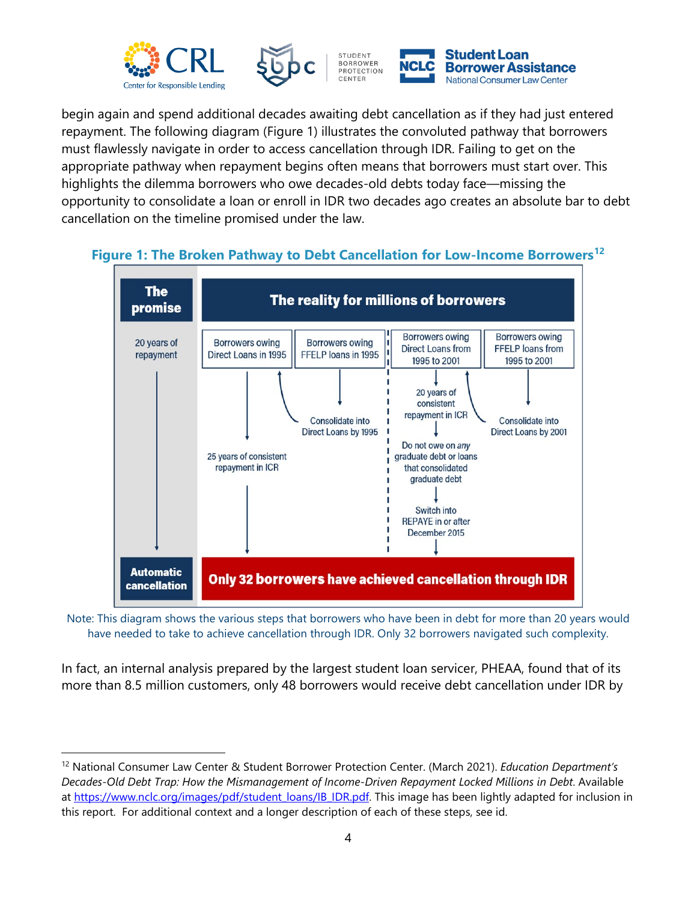



begin again and spend additional decades awaiting debt cancellation as if they had just entered repayment. The following diagram (Figure 1) illustrates the convoluted pathway that borrowers must flawlessly navigate in order to access cancellation through IDR. Failing to get on the appropriate pathway when repayment begins often means that borrowers must start over. This highlights the dilemma borrowers who owe decades-old debts today face—missing the opportunity to consolidate a loan or enroll in IDR two decades ago creates an absolute bar to debt cancellation on the timeline promised under the law.

#### The The reality for millions of borrowers promise **Borrowers owing Borrowers owing** 20 years of **Borrowers owing Borrowers owing Direct Loans from FFELP** loans from repayment Direct Loans in 1995 FFELP loans in 1995 1995 to 2001 1995 to 2001 20 years of consistent repayment in ICR Consolidate into Consolidate into Direct Loans by 1995 Direct Loans by 2001 Do not owe on any 25 years of consistent graduate debt or loans repayment in ICR that consolidated graduate debt Switch into **REPAYE** in or after December 2015 **Automatic** Only 32 borrowers have achieved cancellation through IDR **cancellation**

#### **Figure 1: The Broken Pathway to Debt Cancellation for Low-Income Borrowers[12](#page-3-0)**

Note: This diagram shows the various steps that borrowers who have been in debt for more than 20 years would have needed to take to achieve cancellation through IDR. Only 32 borrowers navigated such complexity.

In fact, an internal analysis prepared by the largest student loan servicer, PHEAA, found that of its more than 8.5 million customers, only 48 borrowers would receive debt cancellation under IDR by

<span id="page-3-0"></span><sup>12</sup> National Consumer Law Center & Student Borrower Protection Center. (March 2021). *Education Department's Decades-Old Debt Trap: How the Mismanagement of Income-Driven Repayment Locked Millions in Debt*. Available at [https://www.nclc.org/images/pdf/student\\_loans/IB\\_IDR.pdf.](https://www.nclc.org/images/pdf/student_loans/IB_IDR.pdf) This image has been lightly adapted for inclusion in this report. For additional context and a longer description of each of these steps, see id.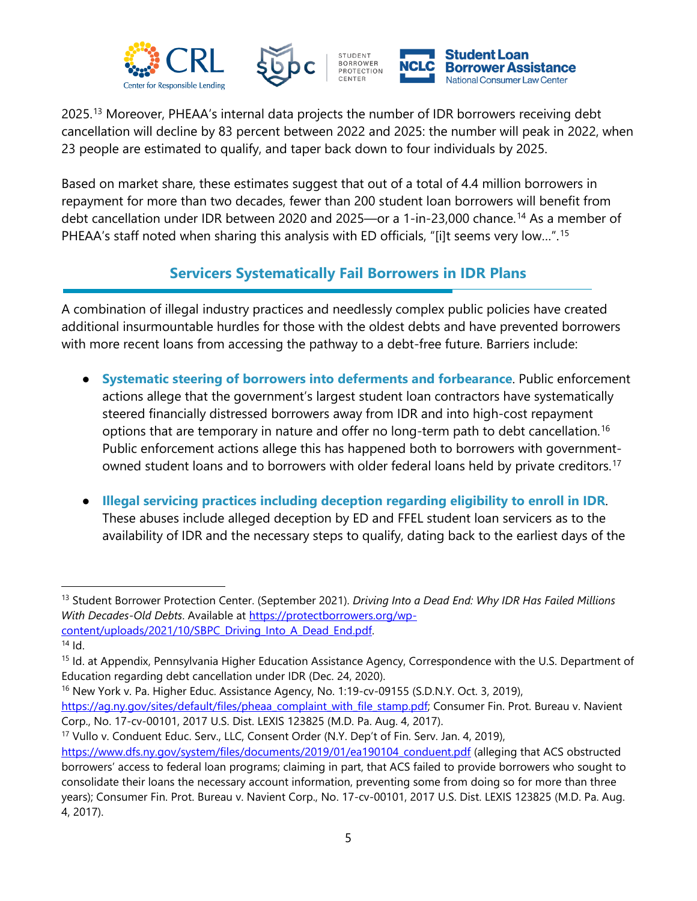



2025.[13](#page-4-0) Moreover, PHEAA's internal data projects the number of IDR borrowers receiving debt cancellation will decline by 83 percent between 2022 and 2025: the number will peak in 2022, when 23 people are estimated to qualify, and taper back down to four individuals by 2025.

Based on market share, these estimates suggest that out of a total of 4.4 million borrowers in repayment for more than two decades, fewer than 200 student loan borrowers will benefit from debt cancellation under IDR between 2020 and 2025—or a 1-in-23,000 chance.[14](#page-4-1) As a member of PHEAA's staff noted when sharing this analysis with ED officials, "[i]t seems very low…".[15](#page-4-2)

## **Servicers Systematically Fail Borrowers in IDR Plans**

A combination of illegal industry practices and needlessly complex public policies have created additional insurmountable hurdles for those with the oldest debts and have prevented borrowers with more recent loans from accessing the pathway to a debt-free future. Barriers include:

- **Systematic steering of borrowers into deferments and forbearance**. Public enforcement actions allege that the government's largest student loan contractors have systematically steered financially distressed borrowers away from IDR and into high-cost repayment options that are temporary in nature and offer no long-term path to debt cancellation.<sup>[16](#page-4-3)</sup> Public enforcement actions allege this has happened both to borrowers with government-owned student loans and to borrowers with older federal loans held by private creditors.<sup>[17](#page-4-4)</sup>
- **Illegal servicing practices including deception regarding eligibility to enroll in IDR**. These abuses include alleged deception by ED and FFEL student loan servicers as to the availability of IDR and the necessary steps to qualify, dating back to the earliest days of the

<span id="page-4-3"></span><sup>16</sup> New York v. Pa. Higher Educ. Assistance Agency, No. 1:19-cv-09155 (S.D.N.Y. Oct. 3, 2019), [https://ag.ny.gov/sites/default/files/pheaa\\_complaint\\_with\\_file\\_stamp.pdf;](https://ag.ny.gov/sites/default/files/pheaa_complaint_with_file_stamp.pdf) Consumer Fin. Prot. Bureau v. Navient Corp., No. 17-cv-00101, 2017 U.S. Dist. LEXIS 123825 (M.D. Pa. Aug. 4, 2017).

<span id="page-4-0"></span><sup>13</sup> Student Borrower Protection Center. (September 2021). *Driving Into a Dead End: Why IDR Has Failed Millions With Decades-Old Debts*. Available at [https://protectborrowers.org/wp](https://protectborrowers.org/wp-content/uploads/2021/10/SBPC_Driving_Into_A_Dead_End.pdf)[content/uploads/2021/10/SBPC\\_Driving\\_Into\\_A\\_Dead\\_End.pdf.](https://protectborrowers.org/wp-content/uploads/2021/10/SBPC_Driving_Into_A_Dead_End.pdf) 14 Id.

<span id="page-4-1"></span>

<span id="page-4-2"></span><sup>&</sup>lt;sup>15</sup> Id. at Appendix, Pennsylvania Higher Education Assistance Agency, Correspondence with the U.S. Department of Education regarding debt cancellation under IDR (Dec. 24, 2020).

<span id="page-4-4"></span><sup>&</sup>lt;sup>17</sup> Vullo v. Conduent Educ. Serv., LLC, Consent Order (N.Y. Dep't of Fin. Serv. Jan. 4, 2019),

[https://www.dfs.ny.gov/system/files/documents/2019/01/ea190104\\_conduent.pdf](https://www.dfs.ny.gov/system/files/documents/2019/01/ea190104_conduent.pdf) (alleging that ACS obstructed borrowers' access to federal loan programs; claiming in part, that ACS failed to provide borrowers who sought to consolidate their loans the necessary account information, preventing some from doing so for more than three years); Consumer Fin. Prot. Bureau v. Navient Corp., No. 17-cv-00101, 2017 U.S. Dist. LEXIS 123825 (M.D. Pa. Aug. 4, 2017).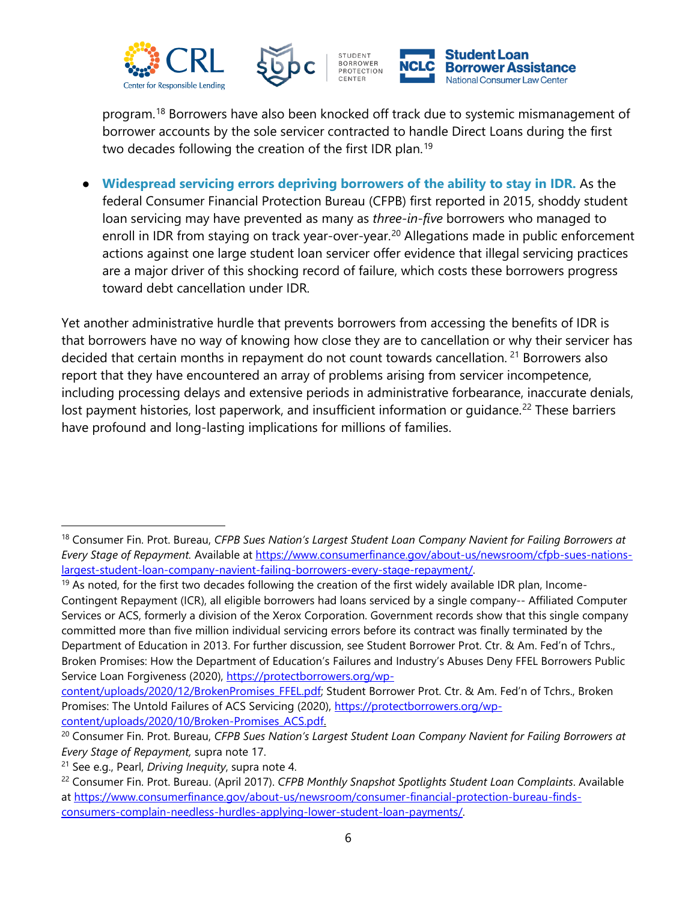





program.[18](#page-5-0) Borrowers have also been knocked off track due to systemic mismanagement of borrower accounts by the sole servicer contracted to handle Direct Loans during the first two decades following the creation of the first IDR plan.<sup>[19](#page-5-1)</sup>

**Widespread servicing errors depriving borrowers of the ability to stay in IDR.** As the federal Consumer Financial Protection Bureau (CFPB) first reported in 2015, shoddy student loan servicing may have prevented as many as *three-in-five* borrowers who managed to enroll in IDR from staying on track year-over-year.<sup>[20](#page-5-2)</sup> Allegations made in public enforcement actions against one large student loan servicer offer evidence that illegal servicing practices are a major driver of this shocking record of failure, which costs these borrowers progress toward debt cancellation under IDR.

Yet another administrative hurdle that prevents borrowers from accessing the benefits of IDR is that borrowers have no way of knowing how close they are to cancellation or why their servicer has decided that certain months in repayment do not count towards cancellation.<sup>[21](#page-5-3)</sup> Borrowers also report that they have encountered an array of problems arising from servicer incompetence, including processing delays and extensive periods in administrative forbearance, inaccurate denials, lost payment histories, lost paperwork, and insufficient information or quidance.<sup>[22](#page-5-4)</sup> These barriers have profound and long-lasting implications for millions of families.

<span id="page-5-0"></span><sup>18</sup> Consumer Fin. Prot. Bureau, *CFPB Sues Nation's Largest Student Loan Company Navient for Failing Borrowers at Every Stage of Repayment.* Available at [https://www.consumerfinance.gov/about-us/newsroom/cfpb-sues-nations](https://www.consumerfinance.gov/about-us/newsroom/cfpb-sues-nations-largest-student-loan-company-navient-failing-borrowers-every-stage-repayment/)[largest-student-loan-company-navient-failing-borrowers-every-stage-repayment/.](https://www.consumerfinance.gov/about-us/newsroom/cfpb-sues-nations-largest-student-loan-company-navient-failing-borrowers-every-stage-repayment/)

<span id="page-5-1"></span><sup>&</sup>lt;sup>19</sup> As noted, for the first two decades following the creation of the first widely available IDR plan, Income-Contingent Repayment (ICR), all eligible borrowers had loans serviced by a single company-- Affiliated Computer Services or ACS, formerly a division of the Xerox Corporation. Government records show that this single company committed more than five million individual servicing errors before its contract was finally terminated by the Department of Education in 2013. For further discussion, see Student Borrower Prot. Ctr. & Am. Fed'n of Tchrs., Broken Promises: How the Department of Education's Failures and Industry's Abuses Deny FFEL Borrowers Public Service Loan Forgiveness (2020), [https://protectborrowers.org/wp-](https://protectborrowers.org/wp-content/uploads/2020/12/BrokenPromises_FFEL.pdf)

[content/uploads/2020/12/BrokenPromises\\_FFEL.pdf;](https://protectborrowers.org/wp-content/uploads/2020/12/BrokenPromises_FFEL.pdf) Student Borrower Prot. Ctr. & Am. Fed'n of Tchrs., Broken Promises: The Untold Failures of ACS Servicing (2020), [https://protectborrowers.org/wp](https://protectborrowers.org/wp-content/uploads/2020/10/Broken-Promises_ACS.pdf)[content/uploads/2020/10/Broken-Promises\\_ACS.pdf.](https://protectborrowers.org/wp-content/uploads/2020/10/Broken-Promises_ACS.pdf)

<span id="page-5-2"></span><sup>20</sup> Consumer Fin. Prot. Bureau, *CFPB Sues Nation's Largest Student Loan Company Navient for Failing Borrowers at Every Stage of Repayment,* supra note 17.

<span id="page-5-3"></span><sup>21</sup> See e.g., Pearl, *Driving Inequity*, supra note 4.

<span id="page-5-4"></span><sup>22</sup> Consumer Fin. Prot. Bureau. (April 2017). *CFPB Monthly Snapshot Spotlights Student Loan Complaints*. Available at [https://www.consumerfinance.gov/about-us/newsroom/consumer-financial-protection-bureau-finds](about:blank)[consumers-complain-needless-hurdles-applying-lower-student-loan-payments/.](about:blank)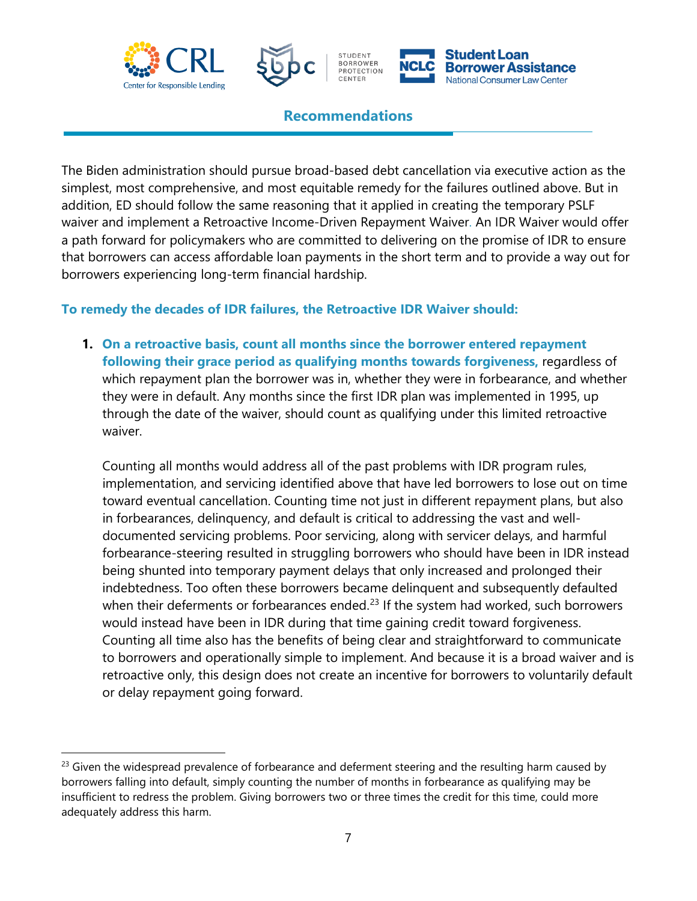





#### **Recommendations**

CENTER

The Biden administration should pursue broad-based debt cancellation via executive action as the simplest, most comprehensive, and most equitable remedy for the failures outlined above. But in addition, ED should follow the same reasoning that it applied in creating the temporary PSLF waiver and implement a Retroactive Income-Driven Repayment Waiver. An IDR Waiver would offer a path forward for policymakers who are committed to delivering on the promise of IDR to ensure that borrowers can access affordable loan payments in the short term and to provide a way out for borrowers experiencing long-term financial hardship.

#### **To remedy the decades of IDR failures, the Retroactive IDR Waiver should:**

**1. On a retroactive basis, count all months since the borrower entered repayment following their grace period as qualifying months towards forgiveness,** regardless of which repayment plan the borrower was in, whether they were in forbearance, and whether they were in default. Any months since the first IDR plan was implemented in 1995, up through the date of the waiver, should count as qualifying under this limited retroactive waiver.

Counting all months would address all of the past problems with IDR program rules, implementation, and servicing identified above that have led borrowers to lose out on time toward eventual cancellation. Counting time not just in different repayment plans, but also in forbearances, delinquency, and default is critical to addressing the vast and welldocumented servicing problems. Poor servicing, along with servicer delays, and harmful forbearance-steering resulted in struggling borrowers who should have been in IDR instead being shunted into temporary payment delays that only increased and prolonged their indebtedness. Too often these borrowers became delinquent and subsequently defaulted when their deferments or forbearances ended. $23$  If the system had worked, such borrowers would instead have been in IDR during that time gaining credit toward forgiveness. Counting all time also has the benefits of being clear and straightforward to communicate to borrowers and operationally simple to implement. And because it is a broad waiver and is retroactive only, this design does not create an incentive for borrowers to voluntarily default or delay repayment going forward.

<span id="page-6-0"></span> $23$  Given the widespread prevalence of forbearance and deferment steering and the resulting harm caused by borrowers falling into default, simply counting the number of months in forbearance as qualifying may be insufficient to redress the problem. Giving borrowers two or three times the credit for this time, could more adequately address this harm.